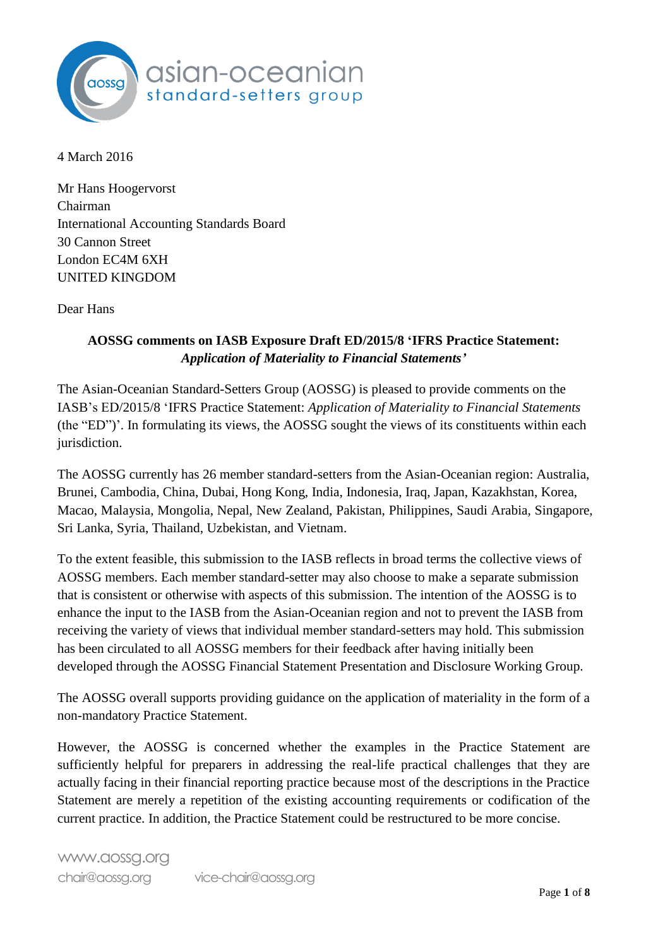

4 March 2016

Mr Hans Hoogervorst Chairman International Accounting Standards Board 30 Cannon Street London EC4M 6XH UNITED KINGDOM

Dear Hans

# **AOSSG comments on IASB Exposure Draft ED/2015/8 'IFRS Practice Statement:**  *Application of Materiality to Financial Statements'*

The Asian-Oceanian Standard-Setters Group (AOSSG) is pleased to provide comments on the IASB's ED/2015/8 'IFRS Practice Statement: *Application of Materiality to Financial Statements* (the "ED")'. In formulating its views, the AOSSG sought the views of its constituents within each jurisdiction.

The AOSSG currently has 26 member standard-setters from the Asian-Oceanian region: Australia, Brunei, Cambodia, China, Dubai, Hong Kong, India, Indonesia, Iraq, Japan, Kazakhstan, Korea, Macao, Malaysia, Mongolia, Nepal, New Zealand, Pakistan, Philippines, Saudi Arabia, Singapore, Sri Lanka, Syria, Thailand, Uzbekistan, and Vietnam.

To the extent feasible, this submission to the IASB reflects in broad terms the collective views of AOSSG members. Each member standard-setter may also choose to make a separate submission that is consistent or otherwise with aspects of this submission. The intention of the AOSSG is to enhance the input to the IASB from the Asian-Oceanian region and not to prevent the IASB from receiving the variety of views that individual member standard-setters may hold. This submission has been circulated to all AOSSG members for their feedback after having initially been developed through the AOSSG Financial Statement Presentation and Disclosure Working Group.

The AOSSG overall supports providing guidance on the application of materiality in the form of a non-mandatory Practice Statement.

However, the AOSSG is concerned whether the examples in the Practice Statement are sufficiently helpful for preparers in addressing the real-life practical challenges that they are actually facing in their financial reporting practice because most of the descriptions in the Practice Statement are merely a repetition of the existing accounting requirements or codification of the current practice. In addition, the Practice Statement could be restructured to be more concise.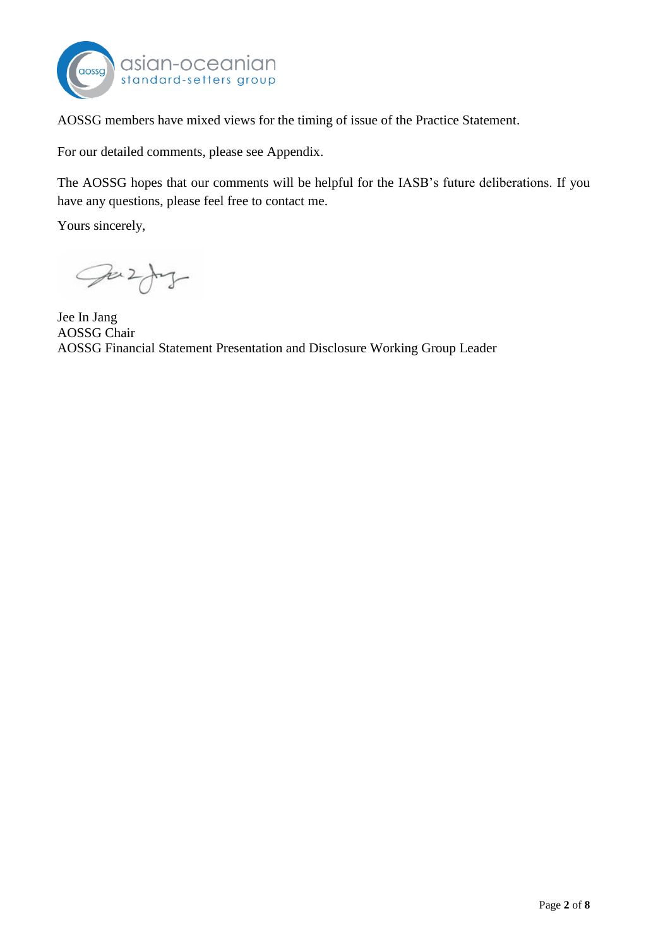

AOSSG members have mixed views for the timing of issue of the Practice Statement.

For our detailed comments, please see Appendix.

The AOSSG hopes that our comments will be helpful for the IASB's future deliberations. If you have any questions, please feel free to contact me.

Yours sincerely,

Juzy -

Jee In Jang AOSSG Chair AOSSG Financial Statement Presentation and Disclosure Working Group Leader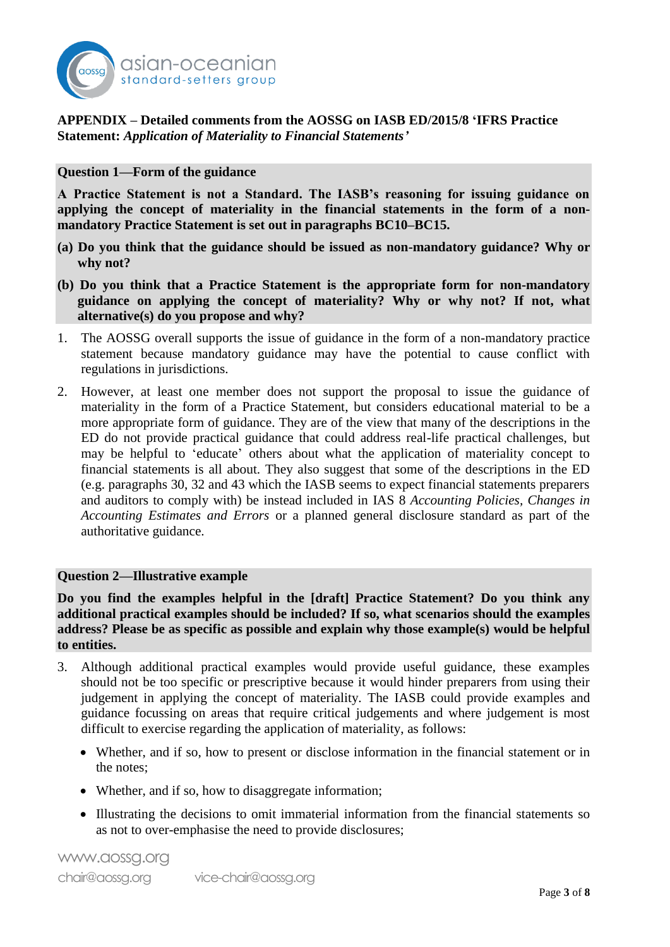

## **APPENDIX – Detailed comments from the AOSSG on IASB ED/2015/8 'IFRS Practice Statement:** *Application of Materiality to Financial Statements'*

#### **Question 1—Form of the guidance**

**A Practice Statement is not a Standard. The IASB's reasoning for issuing guidance on applying the concept of materiality in the financial statements in the form of a nonmandatory Practice Statement is set out in paragraphs BC10–BC15.**

- **(a) Do you think that the guidance should be issued as non-mandatory guidance? Why or why not?**
- **(b) Do you think that a Practice Statement is the appropriate form for non-mandatory guidance on applying the concept of materiality? Why or why not? If not, what alternative(s) do you propose and why?**
- 1. The AOSSG overall supports the issue of guidance in the form of a non-mandatory practice statement because mandatory guidance may have the potential to cause conflict with regulations in jurisdictions.
- 2. However, at least one member does not support the proposal to issue the guidance of materiality in the form of a Practice Statement, but considers educational material to be a more appropriate form of guidance. They are of the view that many of the descriptions in the ED do not provide practical guidance that could address real-life practical challenges, but may be helpful to 'educate' others about what the application of materiality concept to financial statements is all about. They also suggest that some of the descriptions in the ED (e.g. paragraphs 30, 32 and 43 which the IASB seems to expect financial statements preparers and auditors to comply with) be instead included in IAS 8 *Accounting Policies, Changes in Accounting Estimates and Errors* or a planned general disclosure standard as part of the authoritative guidance.

### **Question 2—Illustrative example**

**Do you find the examples helpful in the [draft] Practice Statement? Do you think any additional practical examples should be included? If so, what scenarios should the examples address? Please be as specific as possible and explain why those example(s) would be helpful to entities.**

- 3. Although additional practical examples would provide useful guidance, these examples should not be too specific or prescriptive because it would hinder preparers from using their judgement in applying the concept of materiality. The IASB could provide examples and guidance focussing on areas that require critical judgements and where judgement is most difficult to exercise regarding the application of materiality, as follows:
	- Whether, and if so, how to present or disclose information in the financial statement or in the notes;
	- Whether, and if so, how to disaggregate information;
	- Illustrating the decisions to omit immaterial information from the financial statements so as not to over-emphasise the need to provide disclosures;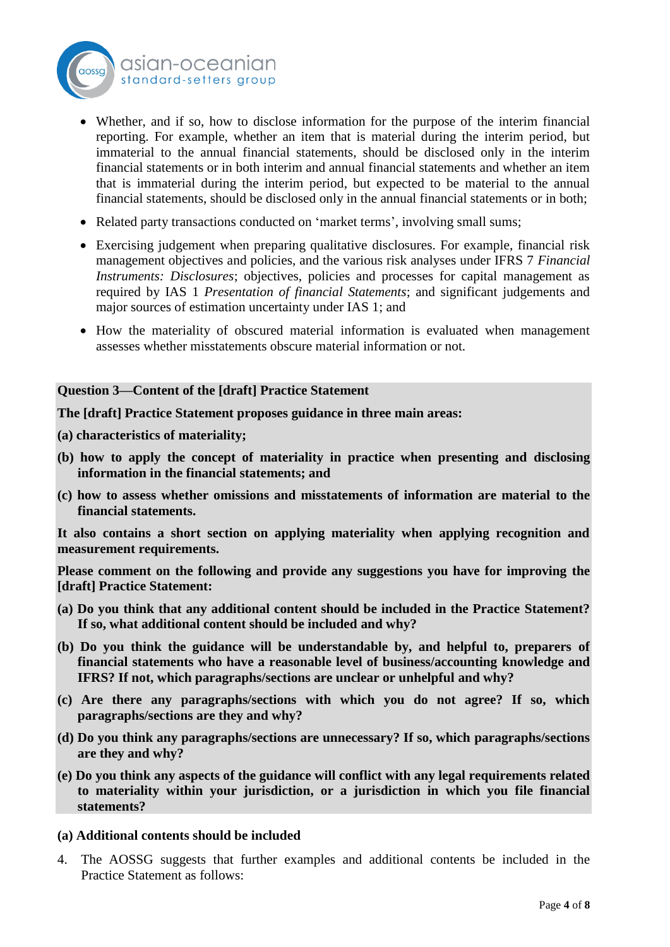

- Whether, and if so, how to disclose information for the purpose of the interim financial reporting. For example, whether an item that is material during the interim period, but immaterial to the annual financial statements, should be disclosed only in the interim financial statements or in both interim and annual financial statements and whether an item that is immaterial during the interim period, but expected to be material to the annual financial statements, should be disclosed only in the annual financial statements or in both;
- Related party transactions conducted on 'market terms', involving small sums;
- Exercising judgement when preparing qualitative disclosures. For example, financial risk management objectives and policies, and the various risk analyses under IFRS 7 *Financial Instruments: Disclosures*; objectives, policies and processes for capital management as required by IAS 1 *Presentation of financial Statements*; and significant judgements and major sources of estimation uncertainty under IAS 1; and
- How the materiality of obscured material information is evaluated when management assesses whether misstatements obscure material information or not.

# **Question 3—Content of the [draft] Practice Statement**

**The [draft] Practice Statement proposes guidance in three main areas:**

- **(a) characteristics of materiality;**
- **(b) how to apply the concept of materiality in practice when presenting and disclosing information in the financial statements; and**
- **(c) how to assess whether omissions and misstatements of information are material to the financial statements.**

**It also contains a short section on applying materiality when applying recognition and measurement requirements.**

**Please comment on the following and provide any suggestions you have for improving the [draft] Practice Statement:**

- **(a) Do you think that any additional content should be included in the Practice Statement? If so, what additional content should be included and why?**
- **(b) Do you think the guidance will be understandable by, and helpful to, preparers of financial statements who have a reasonable level of business/accounting knowledge and IFRS? If not, which paragraphs/sections are unclear or unhelpful and why?**
- **(c) Are there any paragraphs/sections with which you do not agree? If so, which paragraphs/sections are they and why?**
- **(d) Do you think any paragraphs/sections are unnecessary? If so, which paragraphs/sections are they and why?**
- **(e) Do you think any aspects of the guidance will conflict with any legal requirements related to materiality within your jurisdiction, or a jurisdiction in which you file financial statements?**

### **(a) Additional contents should be included**

4. The AOSSG suggests that further examples and additional contents be included in the Practice Statement as follows: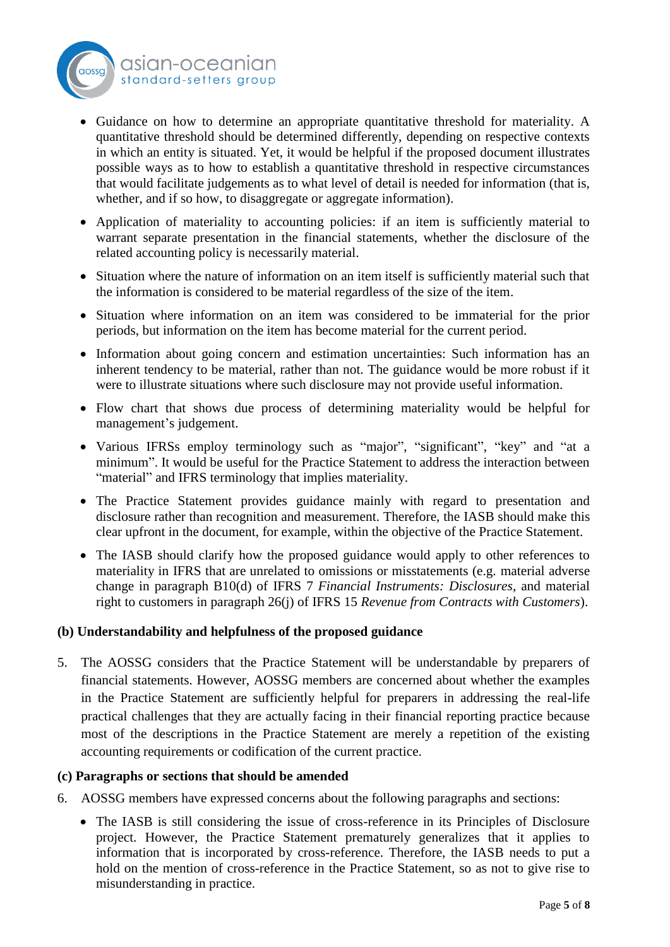

- Guidance on how to determine an appropriate quantitative threshold for materiality. A quantitative threshold should be determined differently, depending on respective contexts in which an entity is situated. Yet, it would be helpful if the proposed document illustrates possible ways as to how to establish a quantitative threshold in respective circumstances that would facilitate judgements as to what level of detail is needed for information (that is, whether, and if so how, to disaggregate or aggregate information).
- Application of materiality to accounting policies: if an item is sufficiently material to warrant separate presentation in the financial statements, whether the disclosure of the related accounting policy is necessarily material.
- Situation where the nature of information on an item itself is sufficiently material such that the information is considered to be material regardless of the size of the item.
- Situation where information on an item was considered to be immaterial for the prior periods, but information on the item has become material for the current period.
- Information about going concern and estimation uncertainties: Such information has an inherent tendency to be material, rather than not. The guidance would be more robust if it were to illustrate situations where such disclosure may not provide useful information.
- Flow chart that shows due process of determining materiality would be helpful for management's judgement.
- Various IFRSs employ terminology such as "major", "significant", "key" and "at a minimum". It would be useful for the Practice Statement to address the interaction between "material" and IFRS terminology that implies materiality.
- The Practice Statement provides guidance mainly with regard to presentation and disclosure rather than recognition and measurement. Therefore, the IASB should make this clear upfront in the document, for example, within the objective of the Practice Statement.
- The IASB should clarify how the proposed guidance would apply to other references to materiality in IFRS that are unrelated to omissions or misstatements (e.g. material adverse change in paragraph B10(d) of IFRS 7 *Financial Instruments: Disclosures*, and material right to customers in paragraph 26(j) of IFRS 15 *Revenue from Contracts with Customers*).

### **(b) Understandability and helpfulness of the proposed guidance**

5. The AOSSG considers that the Practice Statement will be understandable by preparers of financial statements. However, AOSSG members are concerned about whether the examples in the Practice Statement are sufficiently helpful for preparers in addressing the real-life practical challenges that they are actually facing in their financial reporting practice because most of the descriptions in the Practice Statement are merely a repetition of the existing accounting requirements or codification of the current practice.

### **(c) Paragraphs or sections that should be amended**

- 6. AOSSG members have expressed concerns about the following paragraphs and sections:
	- The IASB is still considering the issue of cross-reference in its Principles of Disclosure project. However, the Practice Statement prematurely generalizes that it applies to information that is incorporated by cross-reference. Therefore, the IASB needs to put a hold on the mention of cross-reference in the Practice Statement, so as not to give rise to misunderstanding in practice.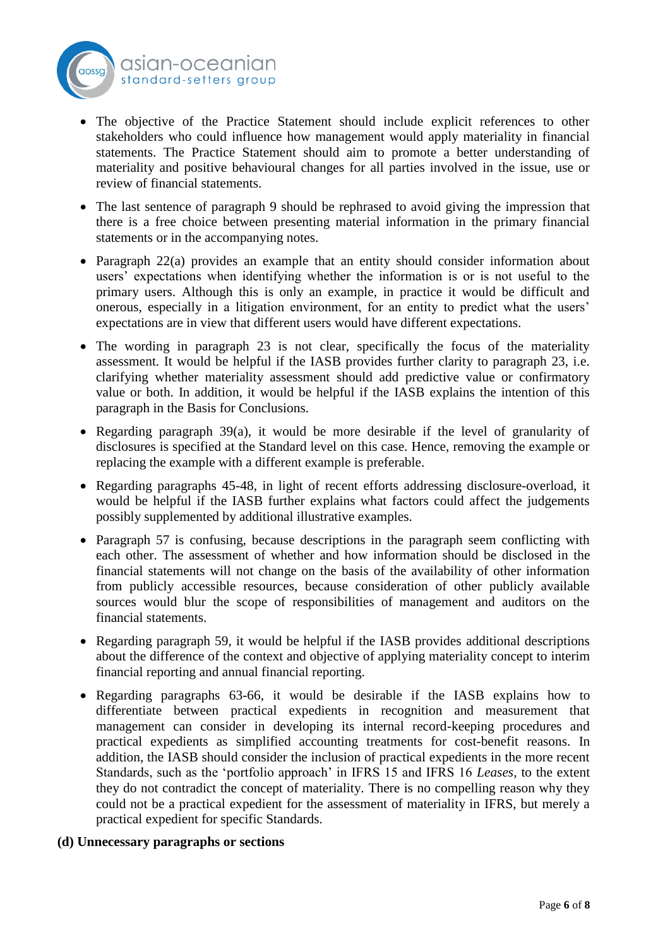



- The objective of the Practice Statement should include explicit references to other stakeholders who could influence how management would apply materiality in financial statements. The Practice Statement should aim to promote a better understanding of materiality and positive behavioural changes for all parties involved in the issue, use or review of financial statements.
- The last sentence of paragraph 9 should be rephrased to avoid giving the impression that there is a free choice between presenting material information in the primary financial statements or in the accompanying notes.
- Paragraph 22(a) provides an example that an entity should consider information about users' expectations when identifying whether the information is or is not useful to the primary users. Although this is only an example, in practice it would be difficult and onerous, especially in a litigation environment, for an entity to predict what the users' expectations are in view that different users would have different expectations.
- The wording in paragraph 23 is not clear, specifically the focus of the materiality assessment. It would be helpful if the IASB provides further clarity to paragraph 23, i.e. clarifying whether materiality assessment should add predictive value or confirmatory value or both. In addition, it would be helpful if the IASB explains the intention of this paragraph in the Basis for Conclusions.
- Regarding paragraph 39(a), it would be more desirable if the level of granularity of disclosures is specified at the Standard level on this case. Hence, removing the example or replacing the example with a different example is preferable.
- Regarding paragraphs 45-48, in light of recent efforts addressing disclosure-overload, it would be helpful if the IASB further explains what factors could affect the judgements possibly supplemented by additional illustrative examples.
- Paragraph 57 is confusing, because descriptions in the paragraph seem conflicting with each other. The assessment of whether and how information should be disclosed in the financial statements will not change on the basis of the availability of other information from publicly accessible resources, because consideration of other publicly available sources would blur the scope of responsibilities of management and auditors on the financial statements.
- Regarding paragraph 59, it would be helpful if the IASB provides additional descriptions about the difference of the context and objective of applying materiality concept to interim financial reporting and annual financial reporting.
- Regarding paragraphs 63-66, it would be desirable if the IASB explains how to differentiate between practical expedients in recognition and measurement that management can consider in developing its internal record-keeping procedures and practical expedients as simplified accounting treatments for cost-benefit reasons. In addition, the IASB should consider the inclusion of practical expedients in the more recent Standards, such as the 'portfolio approach' in IFRS 15 and IFRS 16 *Leases,* to the extent they do not contradict the concept of materiality. There is no compelling reason why they could not be a practical expedient for the assessment of materiality in IFRS, but merely a practical expedient for specific Standards.

# **(d) Unnecessary paragraphs or sections**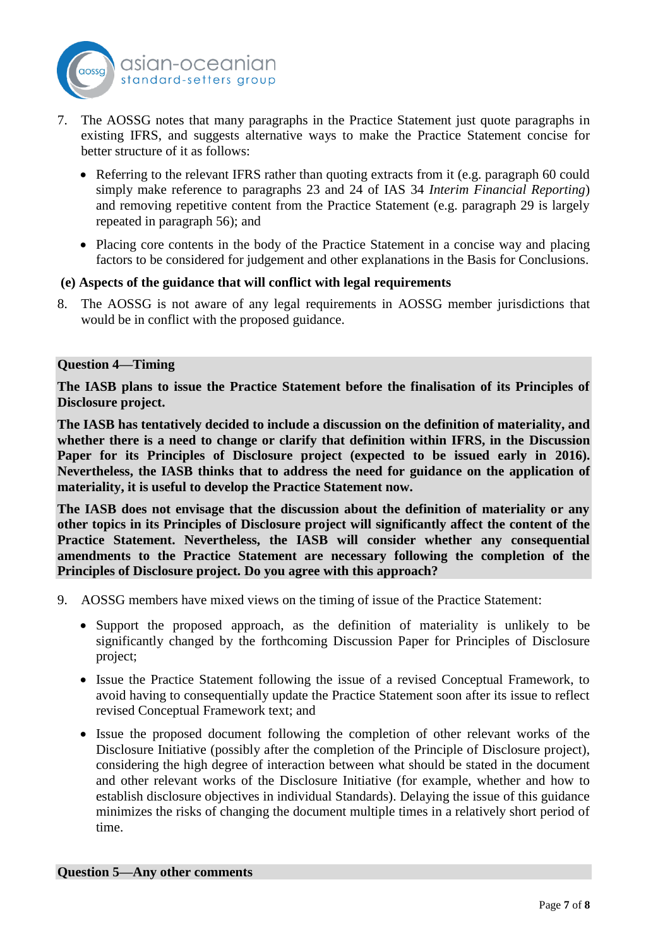

- 7. The AOSSG notes that many paragraphs in the Practice Statement just quote paragraphs in existing IFRS, and suggests alternative ways to make the Practice Statement concise for better structure of it as follows:
	- Referring to the relevant IFRS rather than quoting extracts from it (e.g. paragraph 60 could simply make reference to paragraphs 23 and 24 of IAS 34 *Interim Financial Reporting*) and removing repetitive content from the Practice Statement (e.g. paragraph 29 is largely repeated in paragraph 56); and
	- Placing core contents in the body of the Practice Statement in a concise way and placing factors to be considered for judgement and other explanations in the Basis for Conclusions.

### **(e) Aspects of the guidance that will conflict with legal requirements**

8. The AOSSG is not aware of any legal requirements in AOSSG member jurisdictions that would be in conflict with the proposed guidance.

#### **Question 4—Timing**

**The IASB plans to issue the Practice Statement before the finalisation of its Principles of Disclosure project.**

**The IASB has tentatively decided to include a discussion on the definition of materiality, and whether there is a need to change or clarify that definition within IFRS, in the Discussion Paper for its Principles of Disclosure project (expected to be issued early in 2016). Nevertheless, the IASB thinks that to address the need for guidance on the application of materiality, it is useful to develop the Practice Statement now.**

**The IASB does not envisage that the discussion about the definition of materiality or any other topics in its Principles of Disclosure project will significantly affect the content of the Practice Statement. Nevertheless, the IASB will consider whether any consequential amendments to the Practice Statement are necessary following the completion of the Principles of Disclosure project. Do you agree with this approach?**

- 9. AOSSG members have mixed views on the timing of issue of the Practice Statement:
	- Support the proposed approach, as the definition of materiality is unlikely to be significantly changed by the forthcoming Discussion Paper for Principles of Disclosure project;
	- Issue the Practice Statement following the issue of a revised Conceptual Framework, to avoid having to consequentially update the Practice Statement soon after its issue to reflect revised Conceptual Framework text; and
	- Issue the proposed document following the completion of other relevant works of the Disclosure Initiative (possibly after the completion of the Principle of Disclosure project), considering the high degree of interaction between what should be stated in the document and other relevant works of the Disclosure Initiative (for example, whether and how to establish disclosure objectives in individual Standards). Delaying the issue of this guidance minimizes the risks of changing the document multiple times in a relatively short period of time.